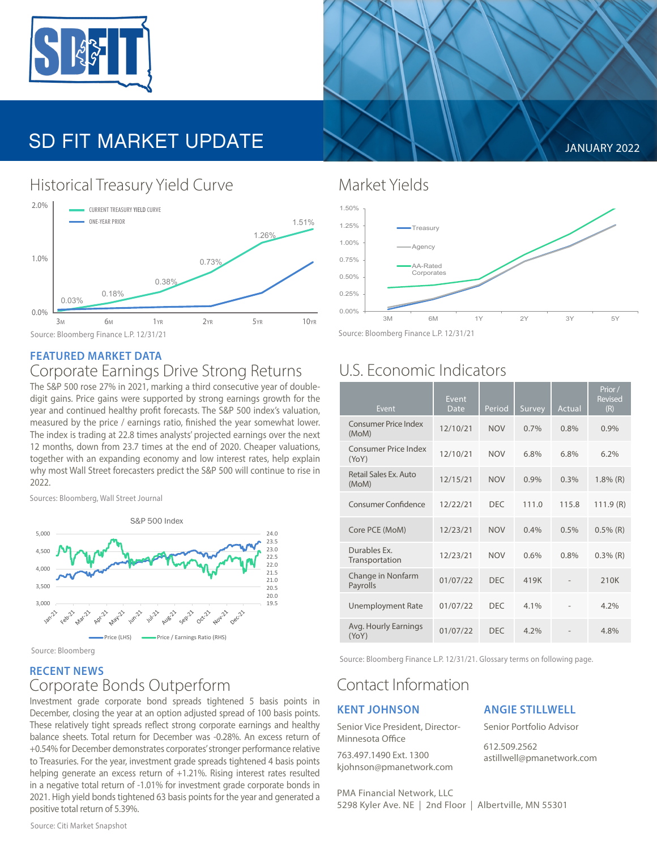

# SD FIT MARKET UPDATE **A SUMPLIFY A SUMPLIFY 2022**

## Historical Treasury Yield Curve Market Yields



#### **FEATURED MARKET DATA** Corporate Earnings Drive Strong Returns

The S&P 500 rose 27% in 2021, marking a third consecutive year of doubledigit gains. Price gains were supported by strong earnings growth for the year and continued healthy profit forecasts. The S&P 500 index's valuation, measured by the price / earnings ratio, finished the year somewhat lower. The index is trading at 22.8 times analysts' projected earnings over the next 12 months, down from 23.7 times at the end of 2020. Cheaper valuations, together with an expanding economy and low interest rates, help explain why most Wall Street forecasters predict the S&P 500 will continue to rise in 2022.

Sources: Bloomberg, Wall Street Journal



Source: Bloomberg

#### **RECENT NEWS**

### Corporate Bonds Outperform

Investment grade corporate bond spreads tightened 5 basis points in December, closing the year at an option adjusted spread of 100 basis points. These relatively tight spreads reflect strong corporate earnings and healthy balance sheets. Total return for December was -0.28%. An excess return of +0.54% for December demonstrates corporates' stronger performance relative to Treasuries. For the year, investment grade spreads tightened 4 basis points helping generate an excess return of +1.21%. Rising interest rates resulted in a negative total return of -1.01% for investment grade corporate bonds in 2021. High yield bonds tightened 63 basis points for the year and generated a positive total return of 5.39%.



Source: Bloomberg Finance L.P. 12/31/21

## U.S. Economic Indicators

| <b>Event</b>                         | Event<br><b>Date</b> | Period     | Survey | Actual | Prior/<br><b>Revised</b><br>(R) |
|--------------------------------------|----------------------|------------|--------|--------|---------------------------------|
| <b>Consumer Price Index</b><br>(MoM) | 12/10/21             | <b>NOV</b> | 0.7%   | 0.8%   | 0.9%                            |
| <b>Consumer Price Index</b><br>(YoY) | 12/10/21             | <b>NOV</b> | 6.8%   | 6.8%   | 6.2%                            |
| Retail Sales Ex. Auto<br>(MoM)       | 12/15/21             | <b>NOV</b> | 0.9%   | 0.3%   | $1.8\%$ (R)                     |
| <b>Consumer Confidence</b>           | 12/22/21             | <b>DEC</b> | 111.0  | 115.8  | 111.9(R)                        |
| Core PCE (MoM)                       | 12/23/21             | <b>NOV</b> | 0.4%   | 0.5%   | $0.5\%$ (R)                     |
| Durables Ex.<br>Transportation       | 12/23/21             | <b>NOV</b> | 0.6%   | 0.8%   | $0.3\%$ (R)                     |
| Change in Nonfarm<br>Payrolls        | 01/07/22             | <b>DEC</b> | 419K   |        | 210K                            |
| <b>Unemployment Rate</b>             | 01/07/22             | <b>DEC</b> | 4.1%   |        | 4.2%                            |
| Avg. Hourly Earnings<br>(YoY)        | 01/07/22             | <b>DEC</b> | 4.2%   |        | 4.8%                            |

Source: Bloomberg Finance L.P. 12/31/21. Glossary terms on following page.

## Contact Information

#### **KENT JOHNSON**

Senior Vice President, Director-Minnesota Office

763.497.1490 Ext. 1300 kjohnson@pmanetwork.com

#### **ANGIE STILLWELL**

Senior Portfolio Advisor

612.509.2562 astillwell@pmanetwork.com

PMA Financial Network, LLC 5298 Kyler Ave. NE | 2nd Floor | Albertville, MN 55301